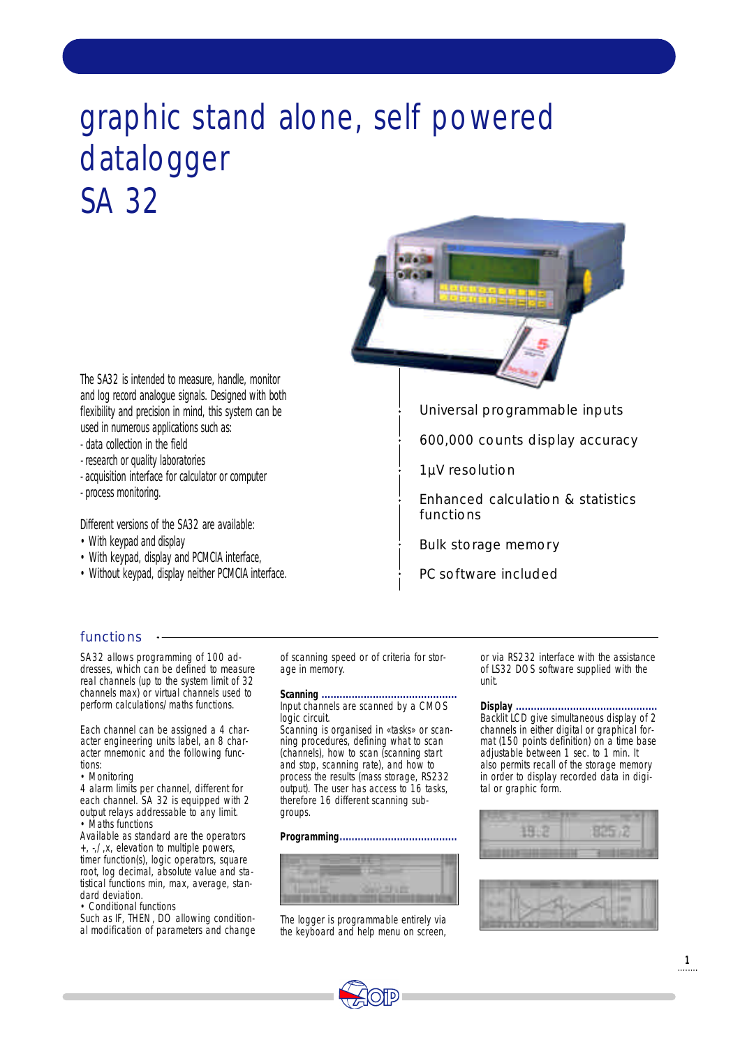# graphic stand alone, self powered datalogger SA 32



The SA32 is intended to measure, handle, monitor and log record analogue signals. Designed with both flexibility and precision in mind, this system can be used in numerous applications such as:

- data collection in the field
- research or quality laboratories
- acquisition interface for calculator or computer
- process monitoring.

Different versions of the SA32 are available:

- With keypad and display
- With keypad, display and PCMCIA interface,
- Without keypad, display neither PCMCIA interface.

Universal programmable inputs

600,000 counts display accuracy

1µV resolution

Enhanced calculation & statistics functions

Bulk storage memory

PC software included

# functions  $\cdot$

SA32 allows programming of 100 addresses, which can be defined to measure real channels (up to the system limit of 32 channels max) or virtual channels used to perform calculations/maths functions.

Each channel can be assigned a 4 character engineering units label, an 8 character mnemonic and the following functions:

• Monitoring

4 alarm limits per channel, different for each channel. SA 32 is equipped with 2 output relays addressable to any limit. • Maths functions

Available as standard are the operators +, -,/,x, elevation to multiple powers, timer function(s), logic operators, square root, log decimal, absolute value and statistical functions min, max, average, standard deviation.

• Conditional functions

Such as IF, THEN, DO allowing conditional modification of parameters and change of scanning speed or of criteria for storage in memory.

**Scanning .............................................** Input channels are scanned by a CMOS logic circuit.

Scanning is organised in «tasks» or scanning procedures, defining what to scan (channels), how to scan (scanning start and stop, scanning rate), and how to process the results (mass storage, RS232 output). The user has access to 16 tasks, therefore 16 different scanning subgroups.

**Programming.......................................**



The logger is programmable entirely via the keyboard and help menu on screen,

or via RS232 interface with the assistance of LS32 DOS software supplied with the unit.

**Display ...............................................** Backlit LCD give simultaneous display of 2 channels in either digital or graphical format (150 points definition) on a time base adjustable between 1 sec. to 1 min. It also permits recall of the storage memory in order to display recorded data in digital or graphic form.





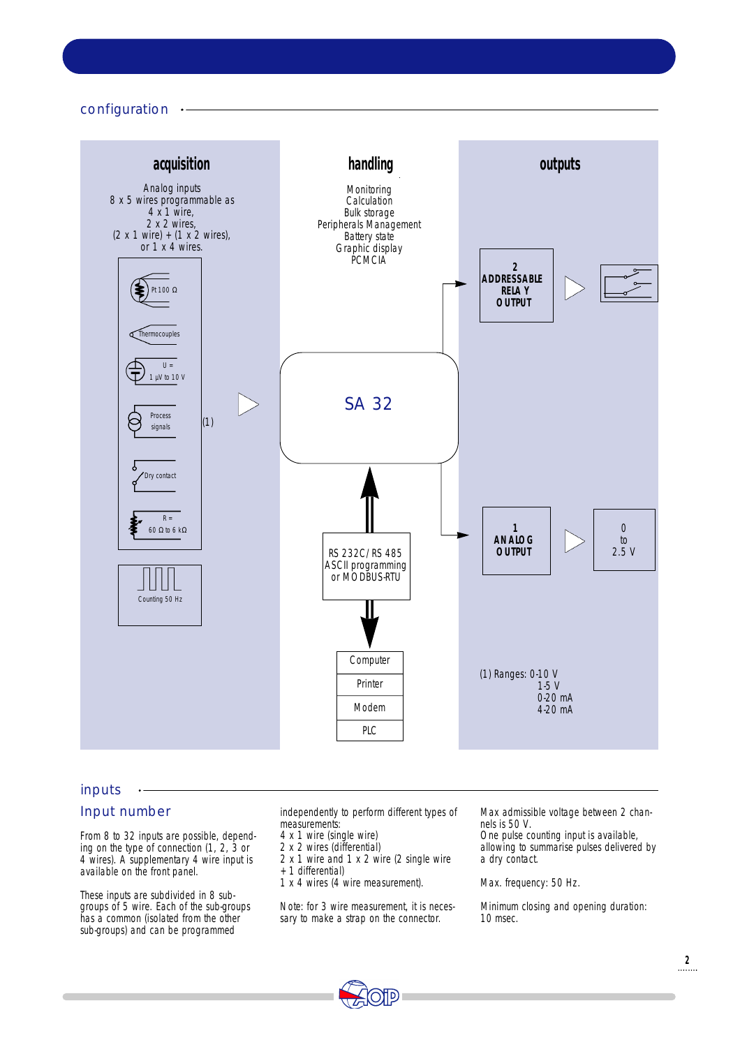configuration



#### inputs

# Input number

From 8 to 32 inputs are possible, depending on the type of connection (1, 2, 3 or 4 wires). A supplementary 4 wire input is available on the front panel.

These inputs are subdivided in 8 subgroups of 5 wire. Each of the sub-groups has a common (isolated from the other sub-groups) and can be programmed

independently to perform different types of measurements:

- 4 x 1 wire (single wire)
- 2 x 2 wires (differential)
- 2 x 1 wire and 1 x 2 wire (2 single wire + 1 differential)
- 1 x 4 wires (4 wire measurement).

Note: for 3 wire measurement, it is necessary to make a strap on the connector.

Max admissible voltage between 2 channels is 50 V.

One pulse counting input is available, allowing to summarise pulses delivered by a dry contact.

Max. frequency: 50 Hz.

Minimum closing and opening duration: 10 msec.

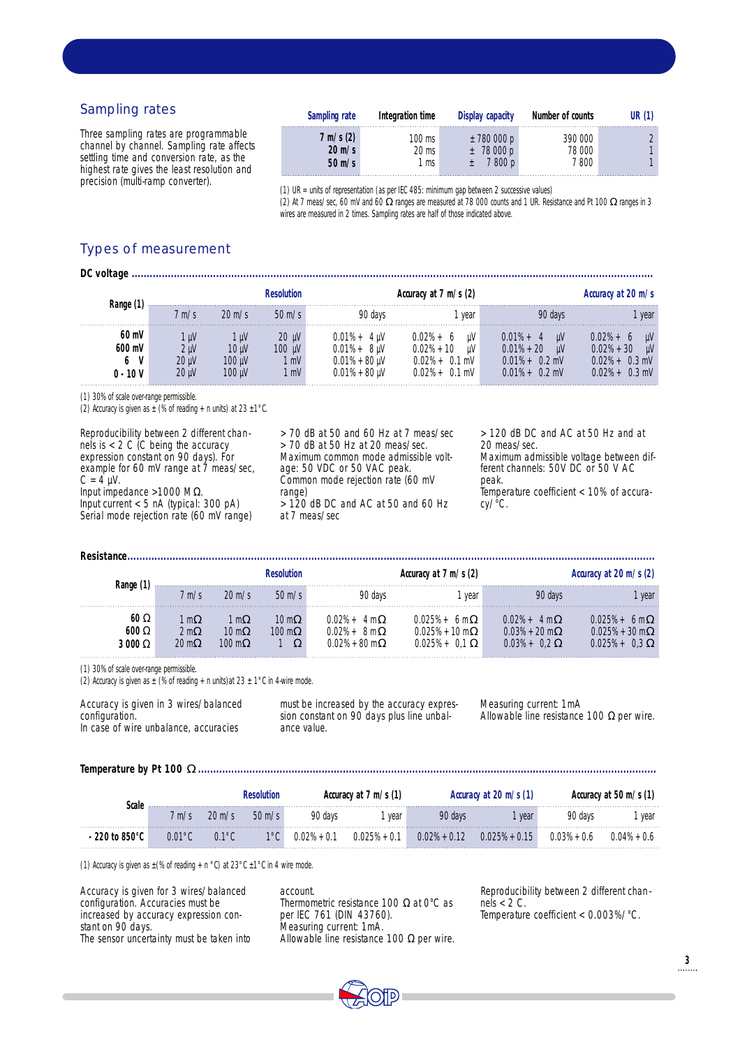# Sampling rates

Three sampling rates are programmable channel by channel. Sampling rate affects settling time and conversion rate, as the highest rate gives the least resolution and precision (multi-ramp converter).

| Sampling rate       | Integration time | Display capacity | Number of counts | UR (1) |
|---------------------|------------------|------------------|------------------|--------|
| $7 \text{ m/s} (2)$ | 100 ms           | ± 780000p        | 390 000          |        |
| $20 \text{ m/s}$    | 20 ms            | $±$ 78 000 p     | 78 000           |        |
| $50 \text{ m/s}$    | 1 ms             | 800 p            | $7800$ .         |        |

(1) UR = units of representation (as per IEC 485: minimum gap between 2 successive values) (2) At 7 meas/sec, 60 mV and 60 ranges are measured at 78 000 counts and 1 UR. Resistance and Pt 100 ranges in 3

wires are measured in 2 times. Sampling rates are half of those indicated above.

# Types of measurement

| Accuracy at 20 m/s                                                |                                                                                              | Accuracy at 7 m/s (2)                                                             |                                                                                                          | <b>Resolution</b>                         |                                 |                                          | Range (1                               |
|-------------------------------------------------------------------|----------------------------------------------------------------------------------------------|-----------------------------------------------------------------------------------|----------------------------------------------------------------------------------------------------------|-------------------------------------------|---------------------------------|------------------------------------------|----------------------------------------|
| vear                                                              | 90 days                                                                                      | vear                                                                              | 90 days                                                                                                  | $50 \text{ m/s}$                          | $20 \text{ m/s}$                | $\mathsf{m}\mathsf{/s}$                  |                                        |
| μV<br>$0.02% + 30$<br>uV<br>$0.02% + 0.3$ mV<br>$0.02\% + 0.3$ mV | $0.01\% + 4$<br><b>LIV</b><br>$0.01\% + 20$<br>-uV<br>$0.01\% + 0.2$ mV<br>$0.01\% + 0.2$ mV | uV<br>$0.02% + 6$<br>$0.02% + 10$<br>uV<br>$0.02\% + 0.1$ mV<br>$0.02\% + 0.1$ mV | $0.01\% + 4$ uV<br>$0.01\% + 8$ uV<br>$0.01\% + 80 \,\text{\upmu V}$<br>$0.01\% + 80 \,\mathrm{\upmu V}$ | $20 \mu V$<br>$100 \mu V$<br>1 mV<br>l mV | μV<br>10 uV<br>100 uV<br>100 uV | - uv<br>2 uV<br>20 uV<br>20 <sub>u</sub> | 60 mV<br>$600$ mV<br>6 V<br>$0 - 10 V$ |

(1) 30% of scale over-range permissible.

(2) Accuracy is given as  $\pm$  (% of reading + n units) at 23  $\pm$ 1°C.

Reproducibility between 2 different channels is < 2 C (C being the accuracy expression constant on 90 days). For example for 60 mV range at 7 meas/sec,  $C = 4$  µV. Input impedance >1000 M . Input current < 5 nA (typical: 300 pA)

Serial mode rejection rate (60 mV range)

> 70 dB at 50 and 60 Hz at 7 meas/sec  $>$  70 dB at 50 Hz at 20 meas/sec. Maximum common mode admissible voltage: 50 VDC or 50 VAC peak. Common mode rejection rate (60 mV range)  $> 120$  dB DC and AC at 50 and 60 Hz at 7 meas/sec

> 120 dB DC and AC at 50 Hz and at 20 meas/sec. Maximum admissible voltage between different channels: 50V DC or 50 V AC peak. Temperature coefficient < 10% of accuracy/°C.

|                      | Range            |                    | Resolution              |                                                         | Accuracy at $7 \text{ m/s}$ (2)                      |                                                      | Accuracy at 20 m/s (2)                 |  |  |
|----------------------|------------------|--------------------|-------------------------|---------------------------------------------------------|------------------------------------------------------|------------------------------------------------------|----------------------------------------|--|--|
|                      | 7 m/s            | $20 \text{ m/s}$   | $50 \text{ m/s}$        | 90 davs                                                 | vear                                                 | 90 davs                                              | vear                                   |  |  |
| 60<br>600<br>3 0 0 0 | m<br>2 m<br>20 m | m<br>10 m<br>100 m | 10 m<br>$100 \text{ m}$ | $0.02% +$<br>4 m<br>$0.02% +$<br>8 m<br>$0.02\% + 80$ m | 0.025% +<br>6 m<br>$0.025% + 10 m$<br>$0.025% + 0.1$ | $0.02% +$<br>4 m<br>$0.03% + 20$ m<br>$0.03\% + 0.2$ | 6 m<br>$0.025\% + 30 \text{ m}$<br>0.3 |  |  |

(1) 30% of scale over-range permissible.

**Resistance** 

(2) Accuracy is given as  $\pm$  (% of reading + n units) at 23  $\pm$  1°C in 4-wire mode.

Accuracy is given in 3 wires/balanced configuration. In case of wire unbalance, accuracies

must be increased by the accuracy expression constant on 90 days plus line unbalance value.

Measuring current: 1mA Allowable line resistance 100 per wire.

**Temperature by Pt 100 ........................................................................................................................................................**

| Scale           |     |                  | Resolution       | Accuracy at $7 \text{ m/s}$ (1) |                |                 | Accuracy at 20 m/s (1) | Accuracy at 50 m/s (1) |                |  |
|-----------------|-----|------------------|------------------|---------------------------------|----------------|-----------------|------------------------|------------------------|----------------|--|
|                 | m/s | $20 \text{ m/s}$ | $50 \text{ m/s}$ | 90 days                         | vear           | 90 days         | vear                   | 90 davs                | vear           |  |
| $-220$ to 850°C |     | $0.1^{\circ}$ C  |                  | $0.02% + 0.1$                   | $0.025% + 0.1$ | $0.02\% + 0.12$ | $0.025% + 0.15$        | $0.03% + 0.6$          | $0.04\% + 0.6$ |  |

(1) Accuracy is given as  $\pm$ (% of reading + n °C) at 23°C  $\pm$ 1°C in 4 wire mode.

| Accuracy is given for 3 wires/balanced    |
|-------------------------------------------|
| configuration. Accuracies must be         |
| increased by accuracy expression con-     |
| stant on 90 days.                         |
| The sensor uncertainty must be taken into |

account. Thermometric resistance 100 at 0°C as per IEC 761 (DIN 43760). Measuring current: 1mA. Allowable line resistance 100 per wire. Reproducibility between 2 different chan nels  $<$  2 C. Temperature coefficient < 0.003%/°C.

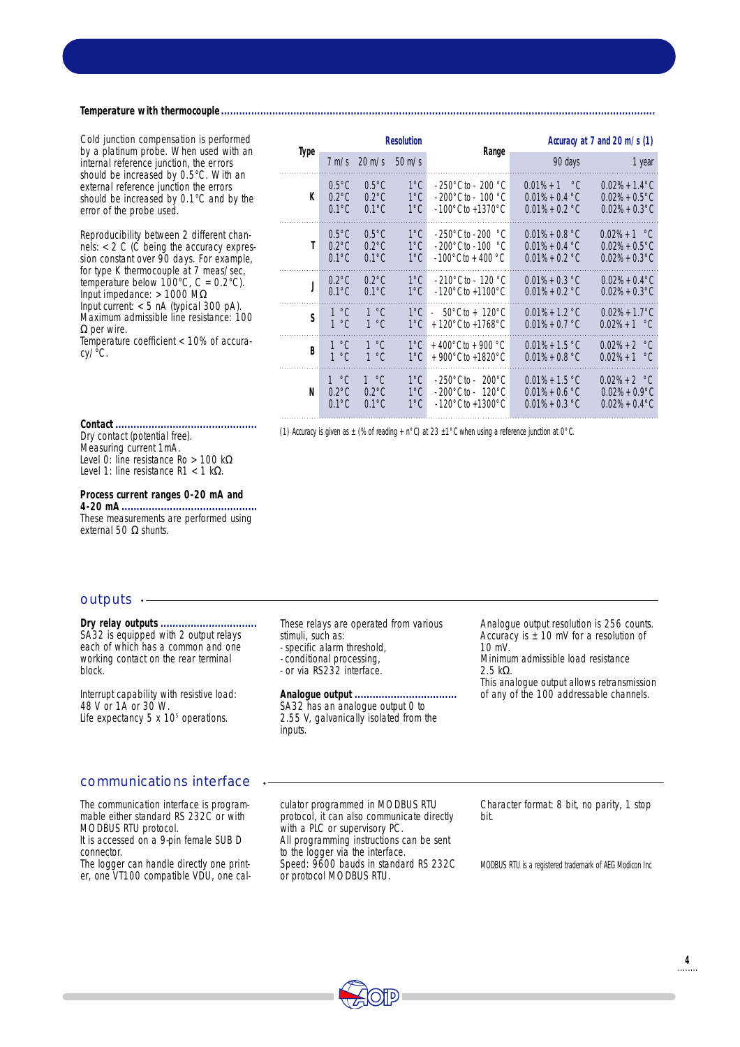**Temperature with thermocouple ................................................................................................................................................**

Cold junction compensation is performed by a platinum probe. When used with an internal reference junction, the errors should be increased by 0.5°C. With an external reference junction the errors should be increased by 0.1°C and by the error of the probe used.

Reproducibility between 2 different channels:  $<$  2 C (C being the accuracy expression constant over 90 days. For example, for type K thermocouple at 7 meas/sec, temperature below  $100^{\circ}$ C, C =  $0.2^{\circ}$ C). Input impedance: > 1000 M Input current: < 5 nA (typical 300 pA).

Maximum admissible line resistance: 100

Temperature coefficient < 10% of accura-

|             |                       |                 | Resolution                     | Range                                                                                  |                                        | Accuracy at $7$ and $20$ m/s $(1)$         |
|-------------|-----------------------|-----------------|--------------------------------|----------------------------------------------------------------------------------------|----------------------------------------|--------------------------------------------|
| <b>Type</b> |                       | $7 m/s$ 20 m/s  | $50 \text{ m/s}$               |                                                                                        | 90 days                                | 1 year                                     |
| K           | $0.5^{\circ}$ C       | $0.5^{\circ}$ C | $1^{\circ}$ C                  | $-250^{\circ}$ C to $-200^{\circ}$ C                                                   | $0.01\% + 1$ °C                        | $0.02\% + 1.4\degree$ C                    |
|             | $0.2^{\circ}$ C       | $0.2^{\circ}$ C | $1^{\circ}$ C                  | $\cdot$ 200°C to $\cdot$ 100 °C                                                        | $0.01\% + 0.4$ °C                      | $0.02\% + 0.5\degree$ C                    |
|             | $0.1^{\circ}$ C       | $0.1^{\circ}$ C | $1^{\circ}$ C                  | $-100^{\circ}$ C to +1370 $^{\circ}$ C                                                 | $0.01\% + 0.2$ °C                      | $0.02\% + 0.3\degree$ C                    |
| Τ           | $0.5^{\circ}$ C       | $0.5^{\circ}$ C | $1^{\circ}$ C                  | $-250^{\circ}$ C to $-200^{\circ}$ C                                                   | $0.01\% + 0.8$ °C                      | $0.02\% + 1$ °C                            |
|             | $0.2^{\circ}$ C       | $0.2^{\circ}$ C | $1^{\circ}$ C                  | $\cdot$ 200 $^{\circ}$ C to $\cdot$ 100 $^{\circ}$ C                                   | $0.01\% + 0.4$ °C                      | $0.02\% + 0.5\degree$ C                    |
|             | $0.1^{\circ}$ C       | $0.1^{\circ}$ C | $1^{\circ}$ C                  | $-100^{\circ}$ C to + 400 $^{\circ}$ C                                                 | $0.01\% + 0.2$ °C                      | $0.02\% + 0.3\degree$ C                    |
| J           | $0.2^{\circ}$ C       | $0.2^{\circ}$ C | $1^{\circ}$ C                  | $-210^{\circ}$ C to $-120^{\circ}$ C                                                   | $0.01\% + 0.3$ °C                      | $0.02\% + 0.4\degree$ C                    |
|             | $0.1^{\circ}$ C       | $0.1^{\circ}$ C | $1^{\circ}$ C                  | $-120^{\circ}$ C to $+1100^{\circ}$ C                                                  | $0.01\% + 0.2$ °C                      | $0.02\% + 0.3\degree$ C                    |
| S           | 1 °C<br>$1^{\circ}$ C | 1 °C<br>1 °C    | $1^{\circ}$ C<br>$1^{\circ}$ C | $50^{\circ}$ C to + 120 $^{\circ}$ C<br>a.<br>+ 120 $^{\circ}$ C to +1768 $^{\circ}$ C | $0.01\% + 1.2$ °C<br>$0.01\% + 0.7$ °C | $0.02\% + 1.7\degree$ C<br>$0.02\% + 1$ °C |
| B           | 1 °C                  | 1 °C            | $1^{\circ}$ C                  | + 400 $^{\circ}$ C to + 900 $^{\circ}$ C                                               | $0.01\% + 1.5$ °C                      | $0.02\% + 2$ °C                            |
|             | $1^{\circ}$ C         | $1^{\circ}$ C   | $1^{\circ}$ C                  | + 900 $^{\circ}$ C to +1820 $^{\circ}$ C                                               | $0.01\% + 0.8$ °C                      | $0.02\% + 1$ °C                            |
| N           | 1 °C                  | 1 °C            | $1^{\circ}$ C                  | $-250^{\circ}$ C to $-200^{\circ}$ C                                                   | $0.01\% + 1.5$ °C                      | $0.02\% + 2$ °C                            |
|             | $0.2^{\circ}$ C       | $0.2^{\circ}$ C | $1^{\circ}$ C                  | $-200^{\circ}$ C to $-120^{\circ}$ C                                                   | $0.01\% + 0.6$ °C                      | $0.02\% + 0.9\degree$ C                    |
|             | $0.1^{\circ}$ C       | $0.1^{\circ}$ C | $1^{\circ}$ C                  | $-120^{\circ}$ C to $+1300^{\circ}$ C                                                  | $0.01\% + 0.3$ °C                      | $0.02\% + 0.4\degree$ C                    |

**Contact ...............................................** Dry contact (potential free). Measuring current 1mA. Level 0: line resistance Ro > 100 k Level 1: line resistance  $R1 < 1$  k.

**Process current ranges 0-20 mA and 4-20 mA .............................................** These measurements are performed using external 50 shunts.

(1) Accuracy is given as  $\pm$  (% of reading + n°C) at 23  $\pm$ 1°C when using a reference junction at 0°C.

**R e s o l u t i o n**

#### outputs  $\cdot$ -

per wire.

cy/°C.

**Dry relay outputs................................** SA32 is equipped with 2 output relays each of which has a common and one working contact on the rear terminal block.

Interrupt capability with resistive load: 48 V or 1A or 30 W. Life expectancy  $5 \times 10^5$  operations.

#### communications interface

The communication interface is programmable either standard RS 232C or with MODBUS RTU protocol.

It is accessed on a 9-pin female SUB D connector.

The logger can handle directly one printer, one VT100 compatible VDU, one calThese relays are operated from various stimuli, such as:

- specific alarm threshold,

- conditional processing,
- or via RS232 interface.

**Analogue output ..................................** SA32 has an analogue output 0 to 2.55 V, galvanically isolated from the inputs.

culator programmed in MODBUS RTU protocol, it can also communicate directly

All programming instructions can be sent to the logger via the interface.

Speed: 9600 bauds in standard RS 232C

with a PLC or supervisory PC.

or protocol MODBUS RTU.

Analogue output resolution is 256 counts. Accuracy is  $\pm$  10 mV for a resolution of 10 mV. Minimum admissible load resistance  $2.5k$ This analogue output allows retransmission of any of the 100 addressable channels.

Character format: 8 bit, no parity, 1 stop bit.

MODBUS RTU is a registered trademark of AEG Modicon Inc

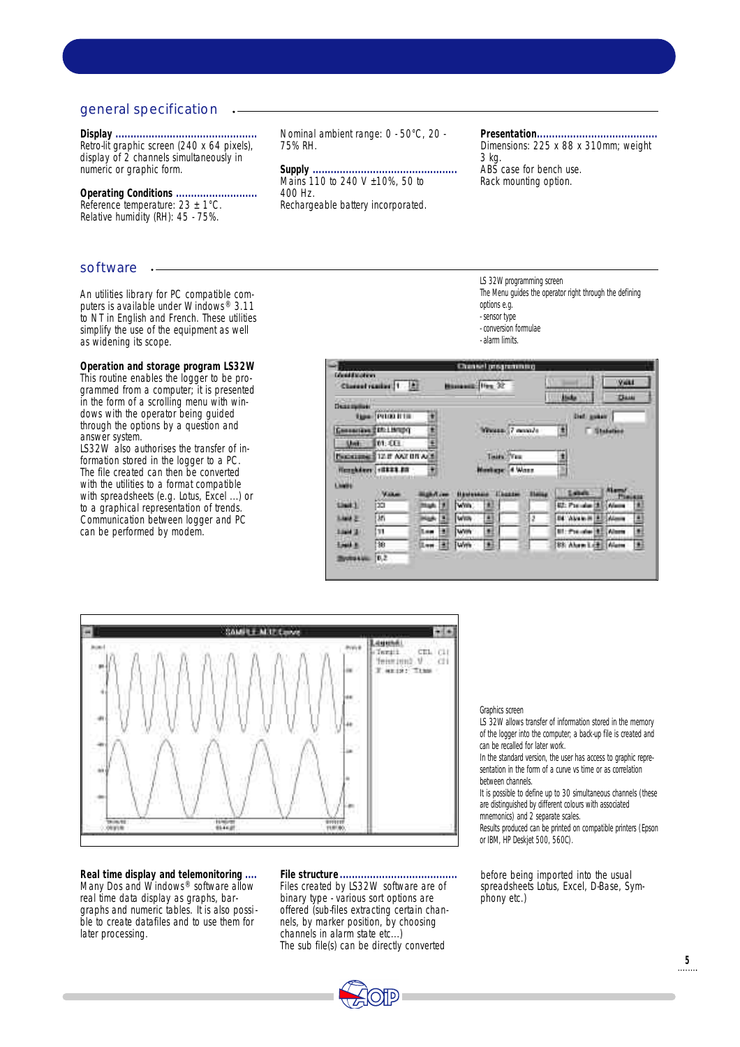### general specification

**Display ...............................................** Retro-lit graphic screen (240 x 64 pixels), display of 2 channels simultaneously in numeric or graphic form.

**Operating Conditions ...........................** Reference temperature:  $23 \pm 1^{\circ}$ C. Relative humidity (RH): 45 - 75%.

#### software  $\cdot$

An utilities library for PC compatible computers is available under Windows® 3.11 to NT in English and French. These utilities simplify the use of the equipment as well as widening its scope.

**Operation and storage program LS32W** This routine enables the logger to be programmed from a computer; it is presented in the form of a scrolling menu with windows with the operator being guided through the options by a question and answer system.

LS32W also authorises the transfer of information stored in the logger to a PC. The file created can then be converted with the utilities to a format compatible with spreadsheets (e.g. Lotus, Excel ...) or to a graphical representation of trends. Communication between logger and PC can be performed by modem.

Nominal ambient range: 0 - 50°C, 20 - 75% RH.

**Supply ................................................** Mains 110 to 240 V ±10%, 50 to 400 Hz. Rechargeable battery incorporated.

**Presentation........................................** Dimensions: 225 x 88 x 310mm; weight 3 kg. ABS case for bench use. Rack mounting option.

LS 32W programming screen The Menu guides the operator right through the defining options e.g. - sensor type - conversion formulae - alarm limits.





**Real time display and telemonitoring ....** Many Dos and Windows<sup>®</sup> software allow real time data display as graphs, bargraphs and numeric tables. It is also possible to create datafiles and to use them for later processing.

**File structure .......................................** Files created by LS32W software are of binary type - various sort options are offered (sub-files extracting certain channels, by marker position, by choosing channels in alarm state etc...) The sub file(s) can be directly converted

#### Graphics screen

LS 32W allows transfer of information stored in the memory of the logger into the computer; a back-up file is created and can be recalled for later work.

In the standard version, the user has access to graphic representation in the form of a curve vs time or as correlation between channels.

It is possible to define up to 30 simultaneous channels (these are distinguished by different colours with associated

mnemonics) and 2 separate scales.

Results produced can be printed on compatible printers (Epson or IBM, HP Deskjet 500, 560C).

before being imported into the usual spreadsheets Lotus, Excel, D-Base, Symphony etc.)